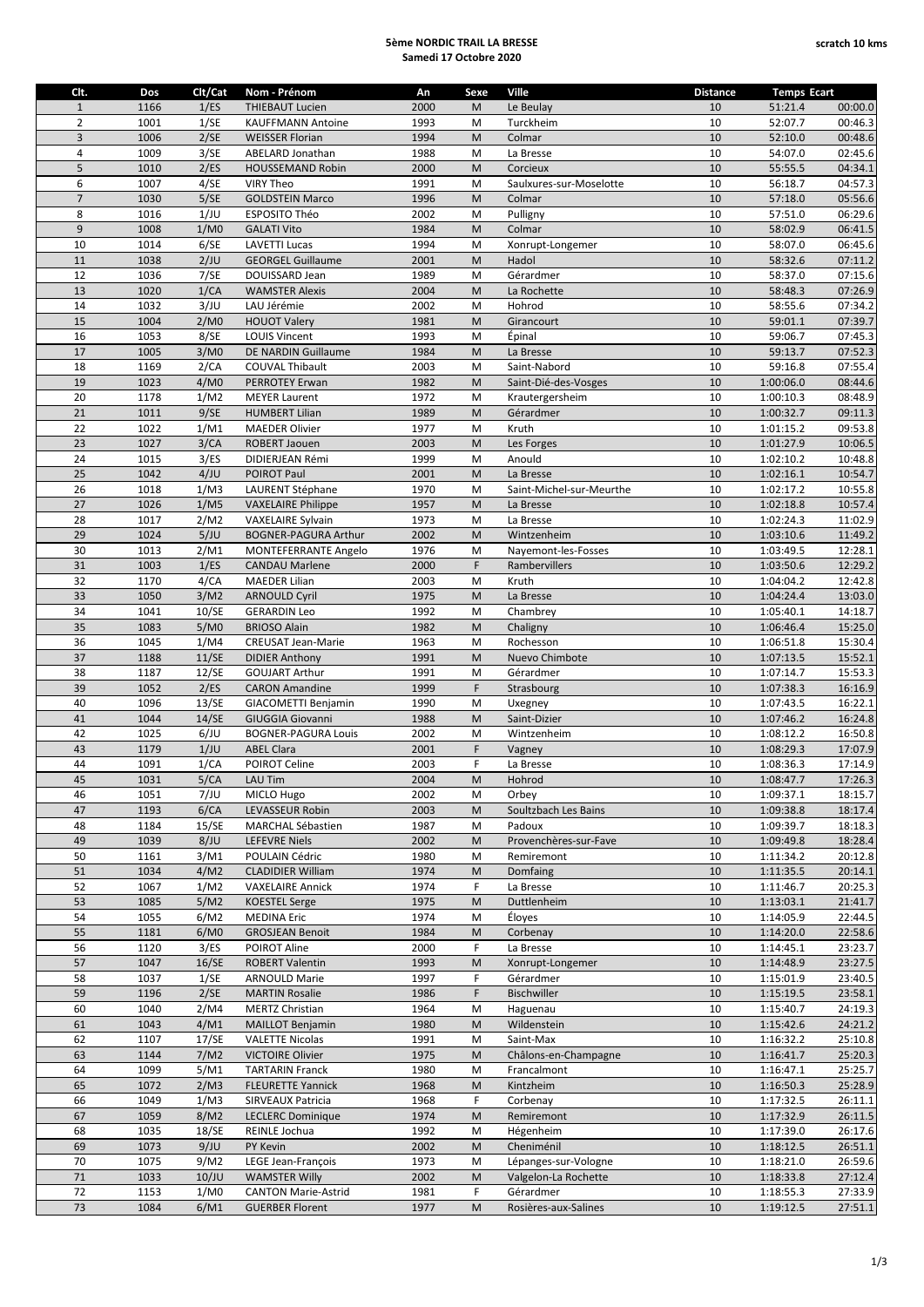## **5ème NORDIC TRAIL LA BRESSE Samedi 17 Octobre 2020**

| Clt.           | Dos  | Clt/Cat | Nom - Prénom                | An   | Sexe | Ville                    | <b>Distance</b> | <b>Temps Ecart</b> |         |
|----------------|------|---------|-----------------------------|------|------|--------------------------|-----------------|--------------------|---------|
| $\mathbf{1}$   | 1166 | 1/ES    | <b>THIEBAUT Lucien</b>      | 2000 | M    | Le Beulay                | 10              | 51:21.4            | 00:00.0 |
| $\overline{2}$ | 1001 | 1/SE    | <b>KAUFFMANN Antoine</b>    | 1993 | M    | Turckheim                | 10              | 52:07.7            | 00:46.3 |
| 3              | 1006 | 2/SE    | <b>WEISSER Florian</b>      | 1994 | M    | Colmar                   | 10              | 52:10.0            | 00:48.6 |
| $\overline{4}$ | 1009 | 3/SE    | ABELARD Jonathan            | 1988 | M    | La Bresse                | 10              | 54:07.0            | 02:45.6 |
| 5              | 1010 | 2/ES    | <b>HOUSSEMAND Robin</b>     | 2000 | M    | Corcieux                 | 10              | 55:55.5            | 04:34.1 |
| 6              | 1007 | 4/SE    | <b>VIRY Theo</b>            | 1991 | M    | Saulxures-sur-Moselotte  | 10              | 56:18.7            | 04:57.3 |
| $\overline{7}$ | 1030 | 5/SE    | <b>GOLDSTEIN Marco</b>      | 1996 | M    | Colmar                   | 10              | 57:18.0            | 05:56.6 |
| 8              | 1016 | 1/JU    | ESPOSITO Théo               | 2002 | M    | Pulligny                 | 10              | 57:51.0            | 06:29.6 |
| 9              |      |         |                             |      |      |                          | 10              |                    |         |
|                | 1008 | 1/M0    | <b>GALATI Vito</b>          | 1984 | M    | Colmar                   |                 | 58:02.9            | 06:41.5 |
| 10             | 1014 | 6/SE    | <b>LAVETTI Lucas</b>        | 1994 | M    | Xonrupt-Longemer         | 10              | 58:07.0            | 06:45.6 |
| 11             | 1038 | 2/JU    | <b>GEORGEL Guillaume</b>    | 2001 | M    | Hadol                    | 10              | 58:32.6            | 07:11.2 |
| 12             | 1036 | 7/SE    | DOUISSARD Jean              | 1989 | M    | Gérardmer                | 10              | 58:37.0            | 07:15.6 |
| 13             | 1020 | 1/CA    | <b>WAMSTER Alexis</b>       | 2004 | M    | La Rochette              | 10              | 58:48.3            | 07:26.9 |
| 14             | 1032 | 3/JU    | LAU Jérémie                 | 2002 | M    | Hohrod                   | 10              | 58:55.6            | 07:34.2 |
| 15             | 1004 | 2/M0    | <b>HOUOT Valery</b>         | 1981 | M    | Girancourt               | 10              | 59:01.1            | 07:39.7 |
| 16             | 1053 | 8/SE    | <b>LOUIS Vincent</b>        | 1993 | M    | Épinal                   | 10              | 59:06.7            | 07:45.3 |
| 17             | 1005 | 3/M0    | DE NARDIN Guillaume         | 1984 | M    | La Bresse                | 10              | 59:13.7            | 07:52.3 |
| 18             | 1169 | 2/CA    | COUVAL Thibault             | 2003 | M    | Saint-Nabord             | 10              | 59:16.8            | 07:55.4 |
| 19             | 1023 | 4/M0    | PERROTEY Erwan              | 1982 | M    | Saint-Dié-des-Vosges     | 10              | 1:00:06.0          | 08:44.6 |
| 20             | 1178 | 1/M2    | <b>MEYER Laurent</b>        | 1972 | M    | Krautergersheim          | 10              | 1:00:10.3          | 08:48.9 |
| 21             | 1011 | 9/SE    | <b>HUMBERT Lilian</b>       | 1989 | M    | Gérardmer                | 10              | 1:00:32.7          | 09:11.3 |
| 22             | 1022 | 1/M1    | <b>MAEDER Olivier</b>       | 1977 | M    | Kruth                    | 10              | 1:01:15.2          | 09:53.8 |
| 23             | 1027 | 3/CA    | ROBERT Jaouen               | 2003 | M    | Les Forges               | 10              | 1:01:27.9          | 10:06.5 |
| 24             | 1015 | 3/ES    |                             | 1999 | M    | Anould                   | 10              |                    |         |
|                |      |         | DIDIERJEAN Rémi             |      |      |                          |                 | 1:02:10.2          | 10:48.8 |
| 25             | 1042 | 4/JU    | POIROT Paul                 | 2001 | M    | La Bresse                | 10              | 1:02:16.1          | 10:54.7 |
| 26             | 1018 | 1/M3    | LAURENT Stéphane            | 1970 | M    | Saint-Michel-sur-Meurthe | 10              | 1:02:17.2          | 10:55.8 |
| 27             | 1026 | 1/M5    | <b>VAXELAIRE Philippe</b>   | 1957 | M    | La Bresse                | 10              | 1:02:18.8          | 10:57.4 |
| 28             | 1017 | 2/M2    | <b>VAXELAIRE Sylvain</b>    | 1973 | M    | La Bresse                | 10              | 1:02:24.3          | 11:02.9 |
| 29             | 1024 | 5/JU    | <b>BOGNER-PAGURA Arthur</b> | 2002 | M    | Wintzenheim              | 10              | 1:03:10.6          | 11:49.2 |
| 30             | 1013 | 2/M1    | <b>MONTEFERRANTE Angelo</b> | 1976 | M    | Nayemont-les-Fosses      | 10              | 1:03:49.5          | 12:28.1 |
| 31             | 1003 | 1/ES    | <b>CANDAU Marlene</b>       | 2000 | F    | Rambervillers            | 10              | 1:03:50.6          | 12:29.2 |
| 32             | 1170 | 4/CA    | <b>MAEDER Lilian</b>        | 2003 | M    | Kruth                    | 10              | 1:04:04.2          | 12:42.8 |
| 33             | 1050 | 3/M2    | <b>ARNOULD Cyril</b>        | 1975 | M    | La Bresse                | 10              | 1:04:24.4          | 13:03.0 |
| 34             | 1041 | 10/SE   | <b>GERARDIN Leo</b>         | 1992 | M    | Chambrey                 | 10              | 1:05:40.1          | 14:18.7 |
| 35             | 1083 | 5/M0    | <b>BRIOSO Alain</b>         | 1982 | M    | Chaligny                 | 10              | 1:06:46.4          | 15:25.0 |
| 36             | 1045 | 1/M4    | CREUSAT Jean-Marie          | 1963 | M    | Rochesson                | 10              | 1:06:51.8          | 15:30.4 |
| 37             | 1188 | 11/SE   | <b>DIDIER Anthony</b>       | 1991 | M    | Nuevo Chimbote           | 10              | 1:07:13.5          | 15:52.1 |
| 38             | 1187 | 12/SE   | <b>GOUJART Arthur</b>       | 1991 | M    | Gérardmer                | 10              | 1:07:14.7          | 15:53.3 |
| 39             | 1052 | 2/ES    | <b>CARON Amandine</b>       | 1999 | F    | Strasbourg               | 10              | 1:07:38.3          | 16:16.9 |
| 40             |      | 13/SE   |                             |      |      |                          |                 | 1:07:43.5          |         |
|                | 1096 |         | GIACOMETTI Benjamin         | 1990 | M    | Uxegney                  | 10              |                    | 16:22.1 |
| 41             | 1044 | 14/SE   | <b>GIUGGIA Giovanni</b>     | 1988 | M    | Saint-Dizier             | 10              | 1:07:46.2          | 16:24.8 |
| 42             | 1025 | 6/JU    | <b>BOGNER-PAGURA Louis</b>  | 2002 | M    | Wintzenheim              | 10              | 1:08:12.2          | 16:50.8 |
| 43             | 1179 | 1/JU    | <b>ABEL Clara</b>           | 2001 | F    | Vagney                   | 10              | 1:08:29.3          | 17:07.9 |
| 44             | 1091 | 1/CA    | POIROT Celine               | 2003 | F.   | La Bresse                | 10              | 1:08:36.3          | 17:14.9 |
| 45             | 1031 | 5/CA    | LAU Tim                     | 2004 | M    | Hohrod                   | 10              | 1:08:47.7          | 17:26.3 |
| 46             | 1051 | 7/JU    | MICLO Hugo                  | 2002 | M    | Orbey                    | 10              | 1:09:37.1          | 18:15.7 |
| 47             | 1193 | 6/CA    | LEVASSEUR Robin             | 2003 | M    | Soultzbach Les Bains     | 10              | 1:09:38.8          | 18:17.4 |
| 48             | 1184 | 15/SE   | <b>MARCHAL Sébastien</b>    | 1987 | M    | Padoux                   | 10              | 1:09:39.7          | 18:18.3 |
| 49             | 1039 | 8/JU    | <b>LEFEVRE Niels</b>        | 2002 | M    | Provenchères-sur-Fave    | 10              | 1:09:49.8          | 18:28.4 |
| 50             | 1161 | 3/M1    | POULAIN Cédric              | 1980 | M    | Remiremont               | 10              | 1:11:34.2          | 20:12.8 |
| 51             | 1034 | 4/M2    | <b>CLADIDIER William</b>    | 1974 | M    | Domfaing                 | 10              | 1:11:35.5          | 20:14.1 |
| 52             | 1067 | 1/M2    | <b>VAXELAIRE Annick</b>     | 1974 | F    | La Bresse                | 10              | 1:11:46.7          | 20:25.3 |
| 53             | 1085 | 5/M2    | <b>KOESTEL Serge</b>        | 1975 | M    | Duttlenheim              | 10              | 1:13:03.1          | 21:41.7 |
| 54             | 1055 | 6/M2    | <b>MEDINA Eric</b>          | 1974 | M    | Éloyes                   | 10              | 1:14:05.9          | 22:44.5 |
| 55             | 1181 | 6/M0    | <b>GROSJEAN Benoit</b>      | 1984 | M    | Corbenay                 | 10              | 1:14:20.0          | 22:58.6 |
| 56             | 1120 | 3/ES    | POIROT Aline                | 2000 | F    | La Bresse                | 10              | 1:14:45.1          | 23:23.7 |
| 57             | 1047 | 16/SE   | <b>ROBERT Valentin</b>      |      |      | Xonrupt-Longemer         | 10              | 1:14:48.9          |         |
|                |      |         |                             | 1993 | M    |                          |                 |                    | 23:27.5 |
| 58             | 1037 | 1/SE    | <b>ARNOULD Marie</b>        | 1997 | F.   | Gérardmer                | 10              | 1:15:01.9          | 23:40.5 |
| 59             | 1196 | 2/SE    | <b>MARTIN Rosalie</b>       | 1986 | F    | Bischwiller              | 10              | 1:15:19.5          | 23:58.1 |
| 60             | 1040 | 2/M4    | <b>MERTZ Christian</b>      | 1964 | M    | Haguenau                 | 10              | 1:15:40.7          | 24:19.3 |
| 61             | 1043 | 4/M1    | <b>MAILLOT Benjamin</b>     | 1980 | M    | Wildenstein              | 10              | 1:15:42.6          | 24:21.2 |
| 62             | 1107 | 17/SE   | <b>VALETTE Nicolas</b>      | 1991 | M    | Saint-Max                | 10              | 1:16:32.2          | 25:10.8 |
| 63             | 1144 | 7/M2    | <b>VICTOIRE Olivier</b>     | 1975 | M    | Châlons-en-Champagne     | 10              | 1:16:41.7          | 25:20.3 |
| 64             | 1099 | 5/M1    | <b>TARTARIN Franck</b>      | 1980 | M    | Francalmont              | 10              | 1:16:47.1          | 25:25.7 |
| 65             | 1072 | 2/M3    | <b>FLEURETTE Yannick</b>    | 1968 | M    | Kintzheim                | 10              | 1:16:50.3          | 25:28.9 |
| 66             | 1049 | 1/M3    | SIRVEAUX Patricia           | 1968 | F    | Corbenay                 | 10              | 1:17:32.5          | 26:11.1 |
| 67             | 1059 | 8/M2    | <b>LECLERC Dominique</b>    | 1974 | M    | Remiremont               | 10              | 1:17:32.9          | 26:11.5 |
| 68             | 1035 | 18/SE   | REINLE Jochua               | 1992 | M    | Hégenheim                | 10              | 1:17:39.0          | 26:17.6 |
| 69             | 1073 | 9/JU    | PY Kevin                    | 2002 | M    | Cheniménil               | 10              | 1:18:12.5          | 26:51.1 |
| 70             | 1075 | 9/M2    | LEGE Jean-François          | 1973 | M    | Lépanges-sur-Vologne     | 10              | 1:18:21.0          | 26:59.6 |
| 71             | 1033 | 10/JU   | <b>WAMSTER Willy</b>        | 2002 | M    | Valgelon-La Rochette     | 10              | 1:18:33.8          | 27:12.4 |
| 72             | 1153 | 1/M0    | <b>CANTON Marie-Astrid</b>  | 1981 | F.   | Gérardmer                | 10              | 1:18:55.3          | 27:33.9 |
|                |      | 6/M1    | <b>GUERBER Florent</b>      | 1977 | M    | Rosières-aux-Salines     | 10              |                    |         |
| $73\,$         | 1084 |         |                             |      |      |                          |                 | 1:19:12.5          | 27:51.1 |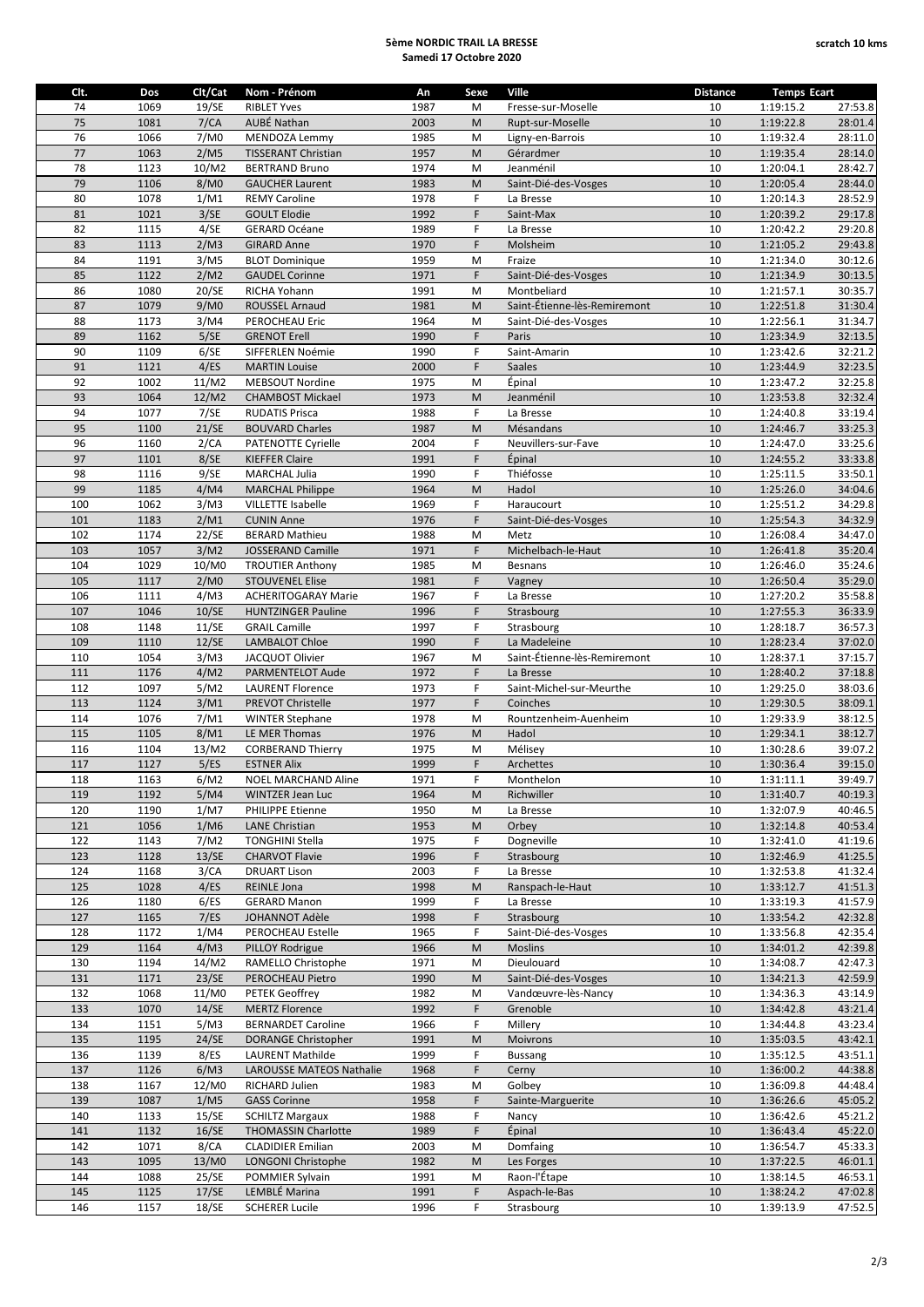## **5ème NORDIC TRAIL LA BRESSE Samedi 17 Octobre 2020**

| Clt. | Dos  | Clt/Cat | Nom - Prénom               | An   | Sexe | Ville                        | <b>Distance</b> | <b>Temps Ecart</b> |         |
|------|------|---------|----------------------------|------|------|------------------------------|-----------------|--------------------|---------|
| 74   | 1069 | 19/SE   | <b>RIBLET Yves</b>         | 1987 | M    | Fresse-sur-Moselle           | 10              | 1:19:15.2          | 27:53.8 |
| 75   | 1081 | 7/CA    | AUBÉ Nathan                | 2003 | M    | Rupt-sur-Moselle             | 10              | 1:19:22.8          | 28:01.4 |
| 76   | 1066 | 7/M0    | MENDOZA Lemmy              | 1985 | M    | Ligny-en-Barrois             | 10              | 1:19:32.4          | 28:11.0 |
| 77   | 1063 | 2/M5    | <b>TISSERANT Christian</b> | 1957 | M    | Gérardmer                    | 10              | 1:19:35.4          | 28:14.0 |
| 78   | 1123 | 10/M2   | <b>BERTRAND Bruno</b>      | 1974 | M    | Jeanménil                    | 10              | 1:20:04.1          | 28:42.7 |
| 79   | 1106 | 8/M0    | <b>GAUCHER Laurent</b>     | 1983 | M    | Saint-Dié-des-Vosges         | 10              | 1:20:05.4          | 28:44.0 |
|      |      |         |                            |      | F.   |                              |                 |                    |         |
| 80   | 1078 | 1/M1    | <b>REMY Caroline</b>       | 1978 |      | La Bresse                    | 10              | 1:20:14.3          | 28:52.9 |
| 81   | 1021 | 3/SE    | <b>GOULT Elodie</b>        | 1992 | F.   | Saint-Max                    | 10              | 1:20:39.2          | 29:17.8 |
| 82   | 1115 | 4/SE    | <b>GERARD Océane</b>       | 1989 | F    | La Bresse                    | 10              | 1:20:42.2          | 29:20.8 |
| 83   | 1113 | 2/M3    | <b>GIRARD Anne</b>         | 1970 | F    | Molsheim                     | 10              | 1:21:05.2          | 29:43.8 |
| 84   | 1191 | 3/M5    | <b>BLOT Dominique</b>      | 1959 | M    | Fraize                       | 10              | 1:21:34.0          | 30:12.6 |
| 85   | 1122 | 2/M2    | <b>GAUDEL Corinne</b>      | 1971 | F    | Saint-Dié-des-Vosges         | $10\,$          | 1:21:34.9          | 30:13.5 |
| 86   | 1080 | 20/SE   | RICHA Yohann               | 1991 | M    | Montbeliard                  | 10              | 1:21:57.1          | 30:35.7 |
| 87   | 1079 | 9/M0    | ROUSSEL Arnaud             | 1981 | M    | Saint-Étienne-lès-Remiremont | $10\,$          | 1:22:51.8          | 31:30.4 |
| 88   | 1173 | 3/M4    | PEROCHEAU Eric             | 1964 | M    | Saint-Dié-des-Vosges         | 10              | 1:22:56.1          | 31:34.7 |
| 89   | 1162 | 5/SE    | <b>GRENOT Erell</b>        | 1990 | F    | Paris                        | 10              | 1:23:34.9          | 32:13.5 |
| 90   | 1109 | 6/SE    | SIFFERLEN Noémie           | 1990 | F    | Saint-Amarin                 | 10              | 1:23:42.6          | 32:21.2 |
| 91   | 1121 | 4/ES    | <b>MARTIN Louise</b>       | 2000 | F    | Saales                       | 10              | 1:23:44.9          | 32:23.5 |
| 92   | 1002 | 11/M2   | MEBSOUT Nordine            | 1975 | M    | Épinal                       | 10              | 1:23:47.2          | 32:25.8 |
| 93   | 1064 | 12/M2   | <b>CHAMBOST Mickael</b>    | 1973 | M    | Jeanménil                    | $10\,$          | 1:23:53.8          | 32:32.4 |
| 94   | 1077 | 7/SE    | <b>RUDATIS Prisca</b>      | 1988 | F    | La Bresse                    | 10              | 1:24:40.8          | 33:19.4 |
| 95   | 1100 | 21/SE   | <b>BOUVARD Charles</b>     | 1987 | M    | Mésandans                    | 10              | 1:24:46.7          | 33:25.3 |
|      |      |         |                            |      | F    |                              |                 |                    |         |
| 96   | 1160 | 2/CA    | <b>PATENOTTE Cyrielle</b>  | 2004 |      | Neuvillers-sur-Fave          | 10              | 1:24:47.0          | 33:25.6 |
| 97   | 1101 | 8/SE    | <b>KIEFFER Claire</b>      | 1991 | F    | Épinal                       | 10              | 1:24:55.2          | 33:33.8 |
| 98   | 1116 | 9/SE    | <b>MARCHAL Julia</b>       | 1990 | F    | Thiéfosse                    | 10              | 1:25:11.5          | 33:50.1 |
| 99   | 1185 | 4/M4    | <b>MARCHAL Philippe</b>    | 1964 | M    | Hadol                        | 10              | 1:25:26.0          | 34:04.6 |
| 100  | 1062 | 3/M3    | <b>VILLETTE Isabelle</b>   | 1969 | F    | Haraucourt                   | 10              | 1:25:51.2          | 34:29.8 |
| 101  | 1183 | 2/M1    | <b>CUNIN Anne</b>          | 1976 | F    | Saint-Dié-des-Vosges         | $10\,$          | 1:25:54.3          | 34:32.9 |
| 102  | 1174 | 22/SE   | <b>BERARD Mathieu</b>      | 1988 | M    | Metz                         | 10              | 1:26:08.4          | 34:47.0 |
| 103  | 1057 | 3/M2    | JOSSERAND Camille          | 1971 | F    | Michelbach-le-Haut           | 10              | 1:26:41.8          | 35:20.4 |
| 104  | 1029 | 10/M0   | <b>TROUTIER Anthony</b>    | 1985 | M    | <b>Besnans</b>               | 10              | 1:26:46.0          | 35:24.6 |
| 105  | 1117 | 2/M0    | <b>STOUVENEL Elise</b>     | 1981 | F    | Vagney                       | 10              | 1:26:50.4          | 35:29.0 |
| 106  | 1111 | 4/M3    | <b>ACHERITOGARAY Marie</b> | 1967 | F    | La Bresse                    | 10              | 1:27:20.2          | 35:58.8 |
| 107  | 1046 | 10/SE   | <b>HUNTZINGER Pauline</b>  | 1996 | F    | Strasbourg                   | 10              | 1:27:55.3          | 36:33.9 |
| 108  | 1148 | 11/SE   | <b>GRAIL Camille</b>       | 1997 | F    | Strasbourg                   | 10              | 1:28:18.7          | 36:57.3 |
| 109  | 1110 | 12/SE   | LAMBALOT Chloe             | 1990 | F.   | La Madeleine                 | 10              | 1:28:23.4          | 37:02.0 |
| 110  | 1054 | 3/M3    | JACQUOT Olivier            | 1967 | M    | Saint-Étienne-lès-Remiremont | 10              | 1:28:37.1          | 37:15.7 |
| 111  | 1176 | 4/M2    | PARMENTELOT Aude           | 1972 | F    | La Bresse                    | 10              | 1:28:40.2          | 37:18.8 |
| 112  | 1097 | 5/M2    |                            | 1973 | F.   | Saint-Michel-sur-Meurthe     | 10              | 1:29:25.0          | 38:03.6 |
|      |      |         | <b>LAURENT Florence</b>    |      |      |                              |                 |                    |         |
| 113  | 1124 | 3/M1    | <b>PREVOT Christelle</b>   | 1977 | F.   | Coinches                     | 10              | 1:29:30.5          | 38:09.1 |
| 114  | 1076 | 7/M1    | <b>WINTER Stephane</b>     | 1978 | M    | Rountzenheim-Auenheim        | 10              | 1:29:33.9          | 38:12.5 |
| 115  | 1105 | 8/M1    | LE MER Thomas              | 1976 | M    | Hadol                        | 10              | 1:29:34.1          | 38:12.7 |
| 116  | 1104 | 13/M2   | <b>CORBERAND Thierry</b>   | 1975 | M    | Mélisey                      | 10              | 1:30:28.6          | 39:07.2 |
| 117  | 1127 | 5/ES    | <b>ESTNER Alix</b>         | 1999 | F    | Archettes                    | 10              | 1:30:36.4          | 39:15.0 |
| 118  | 1163 | 6/M2    | <b>NOEL MARCHAND Aline</b> | 1971 | F    | Monthelon                    | 10              | 1:31:11.1          | 39:49.7 |
| 119  | 1192 | 5/M4    | WINTZER Jean Luc           | 1964 | M    | Richwiller                   | 10              | 1:31:40.7          | 40:19.3 |
| 120  | 1190 | 1/M7    | PHILIPPE Etienne           | 1950 | M    | La Bresse                    | 10              | 1:32:07.9          | 40:46.5 |
| 121  | 1056 | 1/M6    | LANE Christian             | 1953 | M    | Orbey                        | 10              | 1:32:14.8          | 40:53.4 |
| 122  | 1143 | 7/M2    | <b>TONGHINI Stella</b>     | 1975 | F    | Dogneville                   | 10              | 1:32:41.0          | 41:19.6 |
| 123  | 1128 | 13/SE   | <b>CHARVOT Flavie</b>      | 1996 | F    | Strasbourg                   | 10              | 1:32:46.9          | 41:25.5 |
| 124  | 1168 | 3/CA    | <b>DRUART Lison</b>        | 2003 | F    | La Bresse                    | 10              | 1:32:53.8          | 41:32.4 |
| 125  | 1028 | 4/ES    | REINLE Jona                | 1998 | M    | Ranspach-le-Haut             | 10              | 1:33:12.7          | 41:51.3 |
| 126  | 1180 | 6/ES    | <b>GERARD Manon</b>        | 1999 | F    | La Bresse                    | 10              | 1:33:19.3          | 41:57.9 |
| 127  | 1165 | 7/ES    | <b>JOHANNOT Adèle</b>      | 1998 | F    | Strasbourg                   | 10              | 1:33:54.2          | 42:32.8 |
| 128  | 1172 | 1/M4    | PEROCHEAU Estelle          | 1965 | F    | Saint-Dié-des-Vosges         | 10              |                    |         |
|      |      |         |                            |      |      |                              |                 | 1:33:56.8          | 42:35.4 |
| 129  | 1164 | 4/M3    | PILLOY Rodrigue            | 1966 | M    | <b>Moslins</b>               | 10              | 1:34:01.2          | 42:39.8 |
| 130  | 1194 | 14/M2   | RAMELLO Christophe         | 1971 | M    | Dieulouard                   | 10              | 1:34:08.7          | 42:47.3 |
| 131  | 1171 | 23/SE   | PEROCHEAU Pietro           | 1990 | M    | Saint-Dié-des-Vosges         | 10              | 1:34:21.3          | 42:59.9 |
| 132  | 1068 | 11/M0   | <b>PETEK Geoffrey</b>      | 1982 | М    | Vandœuvre-lès-Nancy          | 10              | 1:34:36.3          | 43:14.9 |
| 133  | 1070 | 14/SE   | <b>MERTZ Florence</b>      | 1992 | F    | Grenoble                     | 10              | 1:34:42.8          | 43:21.4 |
| 134  | 1151 | 5/M3    | <b>BERNARDET Caroline</b>  | 1966 | F    | Millery                      | 10              | 1:34:44.8          | 43:23.4 |
| 135  | 1195 | 24/SE   | <b>DORANGE Christopher</b> | 1991 | M    | Moivrons                     | 10              | 1:35:03.5          | 43:42.1 |
| 136  | 1139 | 8/ES    | <b>LAURENT Mathilde</b>    | 1999 | F    | <b>Bussang</b>               | 10              | 1:35:12.5          | 43:51.1 |
| 137  | 1126 | 6/M3    | LAROUSSE MATEOS Nathalie   | 1968 | F    | Cerny                        | 10              | 1:36:00.2          | 44:38.8 |
| 138  | 1167 | 12/M0   | RICHARD Julien             | 1983 | M    | Golbey                       | 10              | 1:36:09.8          | 44:48.4 |
| 139  | 1087 | 1/M5    | <b>GASS Corinne</b>        | 1958 | F    | Sainte-Marguerite            | 10              | 1:36:26.6          | 45:05.2 |
| 140  | 1133 | 15/SE   | <b>SCHILTZ Margaux</b>     | 1988 | F    | Nancy                        | 10              | 1:36:42.6          | 45:21.2 |
| 141  | 1132 | 16/SE   | <b>THOMASSIN Charlotte</b> | 1989 | F    | Épinal                       | 10              | 1:36:43.4          | 45:22.0 |
| 142  | 1071 | 8/CA    | <b>CLADIDIER Emilian</b>   | 2003 | M    | Domfaing                     | 10              | 1:36:54.7          | 45:33.3 |
| 143  | 1095 | 13/M0   | LONGONI Christophe         | 1982 | M    | Les Forges                   | 10              | 1:37:22.5          | 46:01.1 |
|      |      |         |                            |      |      |                              |                 |                    |         |
| 144  | 1088 | 25/SE   | POMMIER Sylvain            | 1991 | M    | Raon-l'Étape                 | 10              | 1:38:14.5          | 46:53.1 |
| 145  | 1125 | 17/SE   | LEMBLÉ Marina              | 1991 | F    | Aspach-le-Bas                | 10              | 1:38:24.2          | 47:02.8 |
| 146  | 1157 | 18/SE   | <b>SCHERER Lucile</b>      | 1996 | F    | Strasbourg                   | 10              | 1:39:13.9          | 47:52.5 |